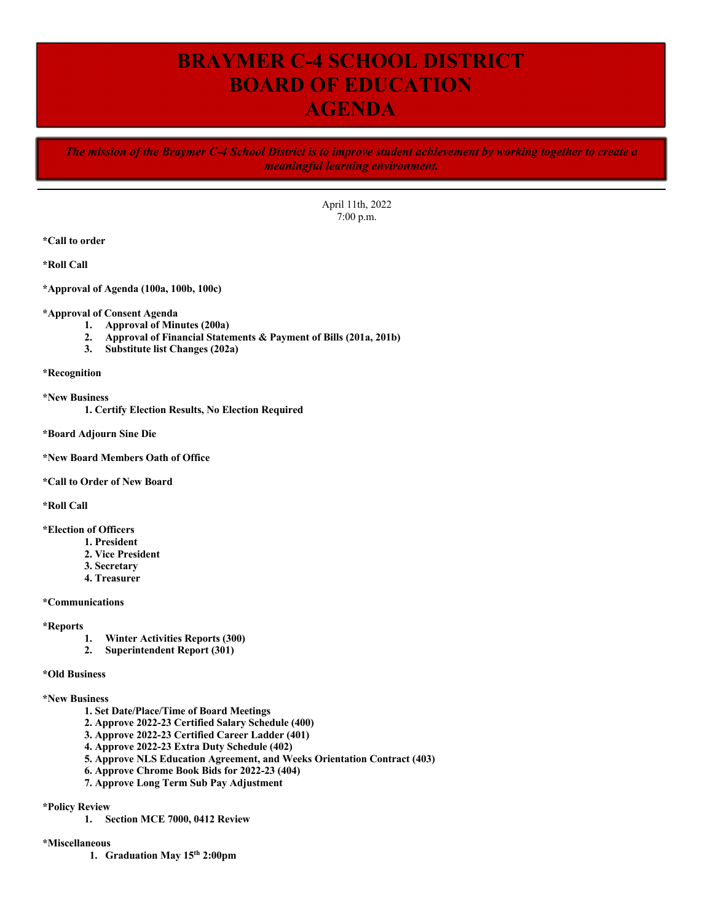# **BRAYMER C-4 SCHOOL DISTRICT BOARD OF EDUCATION AGENDA**

*The mission of the Braymer C-4 School District is to improve student achievement by working together to create a meaningful learning environment.*

> April 11th, 2022 7:00 p.m.

**\*Call to order**

**\*Roll Call**

**\*Approval of Agenda (100a, 100b, 100c)**

#### **\*Approval of Consent Agenda**

- **1. Approval of Minutes (200a)**
- **2. Approval of Financial Statements & Payment of Bills (201a, 201b)**
- **3. Substitute list Changes (202a)**

**\*Recognition**

**\*New Business**

**1. Certify Election Results, No Election Required**

**\*Board Adjourn Sine Die**

### **\*New Board Members Oath of Office**

**\*Call to Order of New Board**

**\*Roll Call**

**\*Election of Officers** 

- **1. President**
- **2. Vice President**
- **3. Secretary**
- **4. Treasurer**

**\*Communications**

#### **\*Reports**

- **1. Winter Activities Reports (300)**
- **2. Superintendent Report (301)**

#### **\*Old Business**

## **\*New Business**

- **1. Set Date/Place/Time of Board Meetings**
- **2. Approve 2022-23 Certified Salary Schedule (400)**
- **3. Approve 2022-23 Certified Career Ladder (401)**
- **4. Approve 2022-23 Extra Duty Schedule (402)**
- **5. Approve NLS Education Agreement, and Weeks Orientation Contract (403)**
- **6. Approve Chrome Book Bids for 2022-23 (404)**
- **7. Approve Long Term Sub Pay Adjustment**

## **\*Policy Review**

**1. Section MCE 7000, 0412 Review**

## **\*Miscellaneous**

**1. Graduation May 15th 2:00pm**